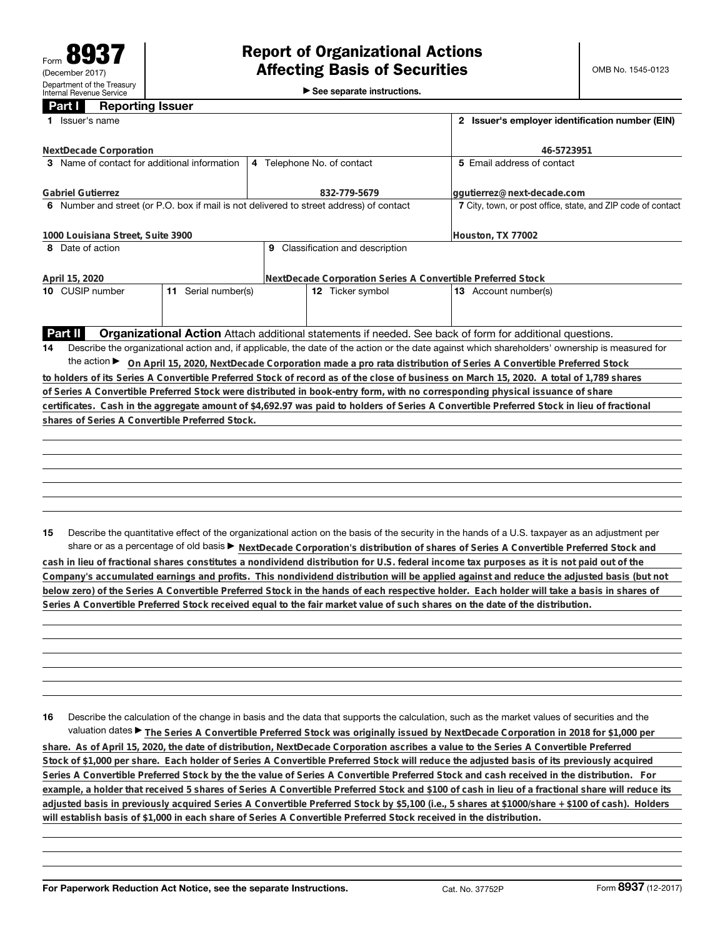►<br>► See separate instructions.

## **Part I Reporting Issuer**

| 1 Issuer's name                                                                         |  | 2 Issuer's employer identification number (EIN)              |                                                                                                                                                                                                                                                                                                                                                                                                                                      |  |  |
|-----------------------------------------------------------------------------------------|--|--------------------------------------------------------------|--------------------------------------------------------------------------------------------------------------------------------------------------------------------------------------------------------------------------------------------------------------------------------------------------------------------------------------------------------------------------------------------------------------------------------------|--|--|
| NextDecade Corporation                                                                  |  | 46-5723951                                                   |                                                                                                                                                                                                                                                                                                                                                                                                                                      |  |  |
| 3 Name of contact for additional information                                            |  | 4 Telephone No. of contact                                   | 5 Email address of contact                                                                                                                                                                                                                                                                                                                                                                                                           |  |  |
| <b>Gabriel Gutierrez</b>                                                                |  | 832-779-5679                                                 | ggutierrez@next-decade.com                                                                                                                                                                                                                                                                                                                                                                                                           |  |  |
| 6 Number and street (or P.O. box if mail is not delivered to street address) of contact |  | 7 City, town, or post office, state, and ZIP code of contact |                                                                                                                                                                                                                                                                                                                                                                                                                                      |  |  |
| 1000 Louisiana Street, Suite 3900                                                       |  |                                                              | Houston, TX 77002                                                                                                                                                                                                                                                                                                                                                                                                                    |  |  |
| 8 Date of action                                                                        |  | 9 Classification and description                             |                                                                                                                                                                                                                                                                                                                                                                                                                                      |  |  |
| April 15, 2020                                                                          |  | NextDecade Corporation Series A Convertible Preferred Stock  |                                                                                                                                                                                                                                                                                                                                                                                                                                      |  |  |
| 11 Serial number(s)<br>10 CUSIP number                                                  |  | 12 Ticker symbol                                             | 13 Account number(s)                                                                                                                                                                                                                                                                                                                                                                                                                 |  |  |
|                                                                                         |  |                                                              |                                                                                                                                                                                                                                                                                                                                                                                                                                      |  |  |
| Part II                                                                                 |  |                                                              | Organizational Action Attach additional statements if needed. See back of form for additional questions.                                                                                                                                                                                                                                                                                                                             |  |  |
| 14                                                                                      |  |                                                              | Describe the organizational action and, if applicable, the date of the action or the date against which shareholders' ownership is measured for                                                                                                                                                                                                                                                                                      |  |  |
|                                                                                         |  |                                                              | the action ► On April 15, 2020, NextDecade Corporation made a pro rata distribution of Series A Convertible Preferred Stock                                                                                                                                                                                                                                                                                                          |  |  |
|                                                                                         |  |                                                              | to holders of its Series A Convertible Preferred Stock of record as of the close of business on March 15, 2020. A total of 1,789 shares                                                                                                                                                                                                                                                                                              |  |  |
|                                                                                         |  |                                                              | of Series A Convertible Preferred Stock were distributed in book-entry form, with no corresponding physical issuance of share                                                                                                                                                                                                                                                                                                        |  |  |
|                                                                                         |  |                                                              | certificates. Cash in the aggregate amount of \$4,692.97 was paid to holders of Series A Convertible Preferred Stock in lieu of fractional                                                                                                                                                                                                                                                                                           |  |  |
| shares of Series A Convertible Preferred Stock.                                         |  |                                                              |                                                                                                                                                                                                                                                                                                                                                                                                                                      |  |  |
|                                                                                         |  |                                                              |                                                                                                                                                                                                                                                                                                                                                                                                                                      |  |  |
|                                                                                         |  |                                                              |                                                                                                                                                                                                                                                                                                                                                                                                                                      |  |  |
|                                                                                         |  |                                                              |                                                                                                                                                                                                                                                                                                                                                                                                                                      |  |  |
|                                                                                         |  |                                                              |                                                                                                                                                                                                                                                                                                                                                                                                                                      |  |  |
|                                                                                         |  |                                                              |                                                                                                                                                                                                                                                                                                                                                                                                                                      |  |  |
| 15                                                                                      |  |                                                              | Describe the quantitative effect of the organizational action on the basis of the security in the hands of a U.S. taxpayer as an adjustment per<br>share or as a percentage of old basis > NextDecade Corporation's distribution of shares of Series A Convertible Preferred Stock and<br>cash in lieu of fractional shares constitutes a nondividend distribution for U.S. federal income tax purposes as it is not paid out of the |  |  |
|                                                                                         |  |                                                              |                                                                                                                                                                                                                                                                                                                                                                                                                                      |  |  |

**Company's accumulated earnings and profits. This nondividend distribution will be applied against and reduce the adjusted basis (but not below zero) of the Series A Convertible Preferred Stock in the hands of each respective holder. Each holder will take a basis in shares of Series A Convertible Preferred Stock received equal to the fair market value of such shares on the date of the distribution.**

**16** Describe the calculation of the change in basis and the data that supports the calculation, such as the market values of securities and the valuation dates ▶ The Series A Convertible Preferred Stock was originally issued by NextDecade Corporation in 2018 for \$1,000 per **share. As of April 15, 2020, the date of distribution, NextDecade Corporation ascribes a value to the Series A Convertible Preferred Stock of \$1,000 per share. Each holder of Series A Convertible Preferred Stock will reduce the adjusted basis of its previously acquired Series A Convertible Preferred Stock by the the value of Series A Convertible Preferred Stock and cash received in the distribution. For example, a holder that received 5 shares of Series A Convertible Preferred Stock and \$100 of cash in lieu of a fractional share will reduce its adjusted basis in previously acquired Series A Convertible Preferred Stock by \$5,100 (i.e., 5 shares at \$1000/share + \$100 of cash). Holders**

**will establish basis of \$1,000 in each share of Series A Convertible Preferred Stock received in the distribution.**